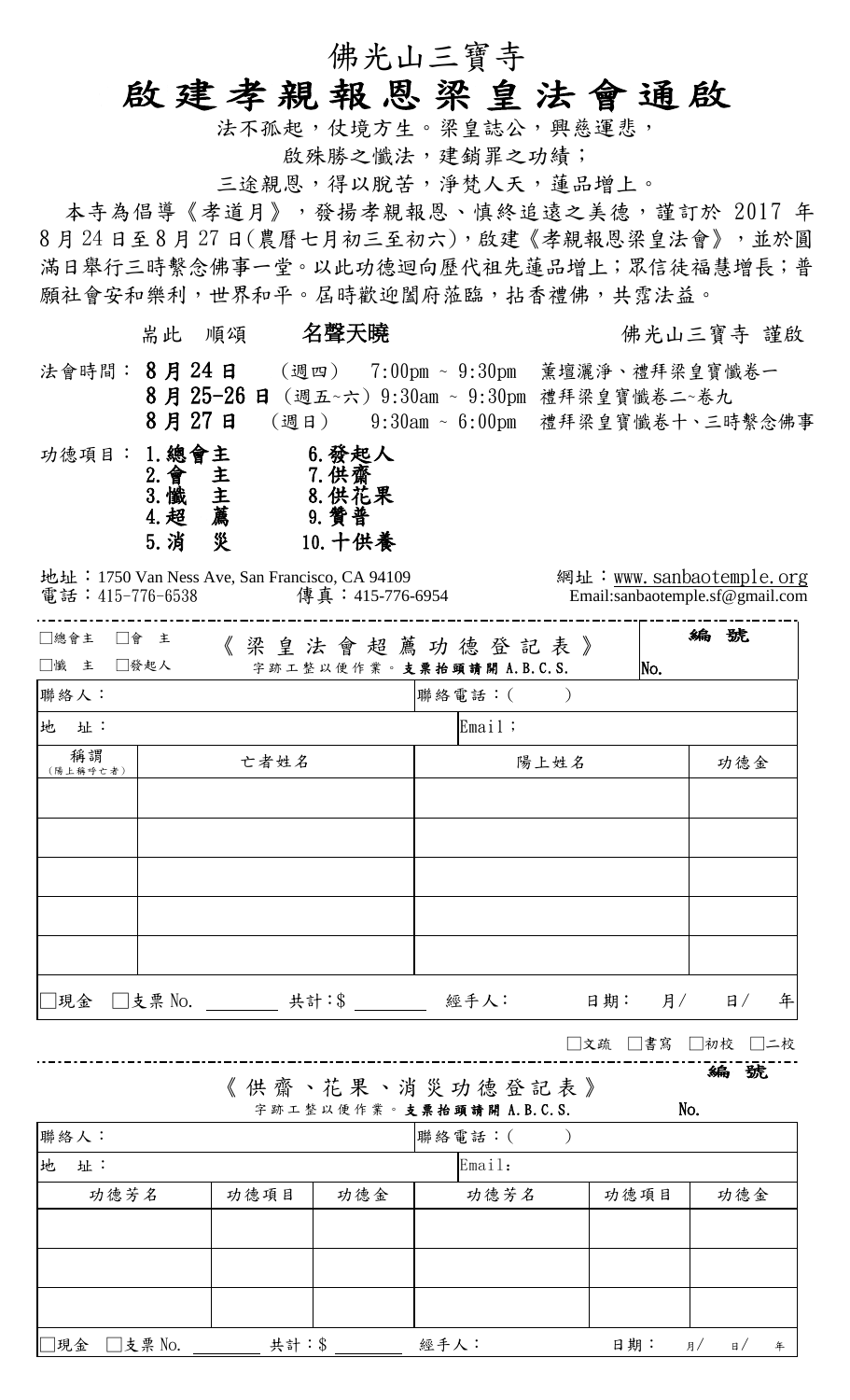## 佛光山三寶寺

# 啟建孝親報恩梁皇法會通啟

法不孤起,仗境方生。梁皇誌公,興慈運悲,

啟殊勝之懺法,建銷罪之功績;

三途親恩,得以脫苦,淨梵人天,蓮品增上。

本寺為倡導《孝道月》,發揚孝親報恩、慎終追遠之美德,謹訂於 2017 年 8 月 24 日至 8 月 27 日(農曆七月初三至初六),啟建《孝親報恩梁皇法會》,並於圓 滿日舉行三時繫念佛事一堂。以此功德迴向歷代祖先蓮品增上;眾信徒福慧增長;普 願社會安和樂利,世界和平。屆時歡迎闔府蒞臨,拈香禮佛,共霑法益。

耑此 順頌 名聲天曉 有人 医不能 医神光山三寶寺 謹啟

法會時間: 8月 24日 (週四) 7:00pm ~ 9:30pm 薰壇灑淨、禮拜梁皇寶懺卷一 8 月 25-26 日 (週五~六) 9:30am ~ 9:30pm 禮拜梁皇寶懺卷二~卷九

 8 月 27 日 (週日) 9:30am ~ 6:00pm 禮拜梁皇寶懺卷十、三時繫念佛事 功德項目: 1.總會主 6.發起人<br>2.會主 7.供齋<br>3.懺主 8.供花果 2.會 主 7.供齋 主 8. 供花果 4.超 薦 9.贊普 5.消 災 10.十供養

地址: 1750 Van Ness Ave, San Francisco, CA 94109 網址: [www.sanbaotemple.org](http://www.sanbaotemple.org/) 電話: 415-776-6538 傳真: 415-776-6954 Email:sanbaotemple.sf@gmail.com

| □總會主<br>□懺 主   | □會 主<br>《梁皇法會超薦功德登記表》<br>□發起人<br>字跡工整以便作業。支票抬頭請開 A.B.C.S. |        | No.    | 編號          |
|----------------|-----------------------------------------------------------|--------|--------|-------------|
| 聯絡人:           |                                                           | 聯絡電話:( |        |             |
| 地<br>址:        |                                                           | Email: |        |             |
| 稱謂<br>(陽上稱呼亡者) | 亡者姓名                                                      | 陽上姓名   |        | 功德金         |
|                |                                                           |        |        |             |
|                |                                                           |        |        |             |
|                |                                                           |        |        |             |
|                |                                                           |        |        |             |
|                |                                                           |        |        |             |
|                |                                                           |        |        |             |
| ]現金    □支票 No. | 共計:\$                                                     | 經手人:   | 日期: 月/ | 年<br>$\Box$ |

□文疏 □書寫 □初校 □二校

|                                               | 《供齋、花果、消災功德登記表》 |
|-----------------------------------------------|-----------------|
| الألفاء والمستحدث المتلوب المتحاولة والمستحدث |                 |

| 《扁<br>e.<br>うん |
|----------------|
|----------------|

|             |       |     | 字跡工整以便作業。支票抬頭請開 A.B.C.S. |      | No.              |  |  |
|-------------|-------|-----|--------------------------|------|------------------|--|--|
| 聯絡人:        |       |     | 聯絡電話:(                   |      |                  |  |  |
| 地<br>址:     |       |     | Email:                   |      |                  |  |  |
| 功德芳名        | 功德項目  | 功德金 | 功德芳名                     | 功德項目 | 功德金              |  |  |
|             |       |     |                          |      |                  |  |  |
|             |       |     |                          |      |                  |  |  |
|             |       |     |                          |      |                  |  |  |
|             |       |     |                          |      |                  |  |  |
| ]現金 □支票 No. | 共計:\$ |     | 經手人:                     | 日期:  | 月<br>$\Box$<br>年 |  |  |